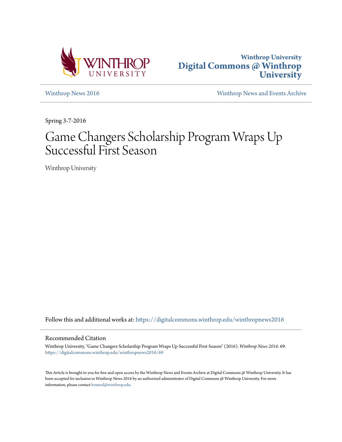



[Winthrop News 2016](https://digitalcommons.winthrop.edu/winthropnews2016?utm_source=digitalcommons.winthrop.edu%2Fwinthropnews2016%2F69&utm_medium=PDF&utm_campaign=PDFCoverPages) [Winthrop News and Events Archive](https://digitalcommons.winthrop.edu/winthropnewsarchives?utm_source=digitalcommons.winthrop.edu%2Fwinthropnews2016%2F69&utm_medium=PDF&utm_campaign=PDFCoverPages)

Spring 3-7-2016

## Game Changers Scholarship Program Wraps Up Successful First Season

Winthrop University

Follow this and additional works at: [https://digitalcommons.winthrop.edu/winthropnews2016](https://digitalcommons.winthrop.edu/winthropnews2016?utm_source=digitalcommons.winthrop.edu%2Fwinthropnews2016%2F69&utm_medium=PDF&utm_campaign=PDFCoverPages)

### Recommended Citation

Winthrop University, "Game Changers Scholarship Program Wraps Up Successful First Season" (2016). *Winthrop News 2016*. 69. [https://digitalcommons.winthrop.edu/winthropnews2016/69](https://digitalcommons.winthrop.edu/winthropnews2016/69?utm_source=digitalcommons.winthrop.edu%2Fwinthropnews2016%2F69&utm_medium=PDF&utm_campaign=PDFCoverPages)

This Article is brought to you for free and open access by the Winthrop News and Events Archive at Digital Commons @ Winthrop University. It has been accepted for inclusion in Winthrop News 2016 by an authorized administrator of Digital Commons @ Winthrop University. For more information, please contact [bramed@winthrop.edu](mailto:bramed@winthrop.edu).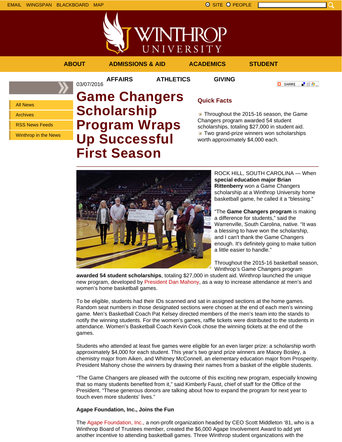



**AFFAIRS ATHLETICS GIVING**

03/07/2016



**O** SHARE

上没身。

All News

Archives

RSS News Feeds

Winthrop in the News

# **Game Changers Scholarship Program Wraps Up Successful First Season**

## **Quick Facts**

**Throughout the 2015-16 season, the Game** Changers program awarded 54 student scholarships, totaling \$27,000 in student aid. **T** Two grand-prize winners won scholarships worth approximately \$4,000 each.



ROCK HILL, SOUTH CAROLINA — When **special education major Brian Rittenberry** won a Game Changers scholarship at a Winthrop University home basketball game, he called it a "blessing."

"The **Game Changers program** is making a difference for students," said the Warrenville, South Carolina, native. "It was a blessing to have won the scholarship, and I can't thank the Game Changers enough. It's definitely going to make tuition a little easier to handle."

Throughout the 2015-16 basketball season, Winthrop's Game Changers program

**awarded 54 student scholarships**, totaling \$27,000 in student aid. Winthrop launched the unique new program, developed by President Dan Mahony, as a way to increase attendance at men's and women's home basketball games.

To be eligible, students had their IDs scanned and sat in assigned sections at the home games. Random seat numbers in those designated sections were chosen at the end of each men's winning game. Men's Basketball Coach Pat Kelsey directed members of the men's team into the stands to notify the winning students. For the women's games, raffle tickets were distributed to the students in attendance. Women's Basketball Coach Kevin Cook chose the winning tickets at the end of the games.

Students who attended at least five games were eligible for an even larger prize: a scholarship worth approximately \$4,000 for each student. This year's two grand prize winners are Macey Bosley, a chemistry major from Aiken, and Whitney McConnell, an elementary education major from Prosperity. President Mahony chose the winners by drawing their names from a basket of the eligible students.

"The Game Changers are pleased with the outcome of this exciting new program, especially knowing that so many students benefited from it," said Kimberly Faust, chief of staff for the Office of the President. "These generous donors are talking about how to expand the program for next year to touch even more students' lives."

### **Agape Foundation, Inc., Joins the Fun**

The Agape Foundation, Inc., a non-profit organization headed by CEO Scott Middleton '81, who is a Winthrop Board of Trustees member, created the \$6,000 Agape Involvement Award to add yet another incentive to attending basketball games. Three Winthrop student organizations with the